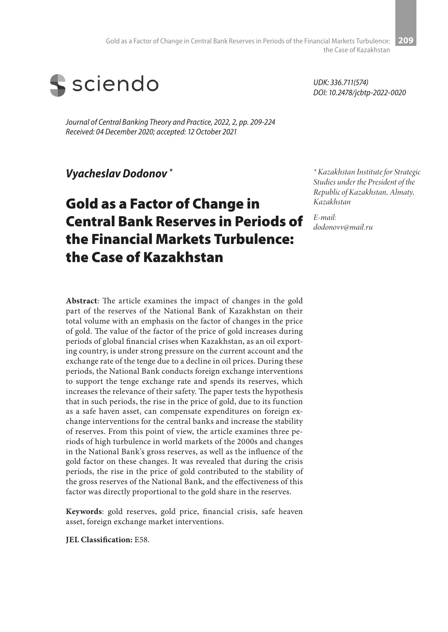

*Journal of Central Banking Theory and Practice, 2022, 2, pp. 209-224 Received: 04 December 2020; accepted: 12 October 2021*

*Vyacheslav Dodonov \**

# Gold as a Factor of Change in Central Bank Reserves in Periods of the Financial Markets Turbulence: the Case of Kazakhstan

**Abstract**: The article examines the impact of changes in the gold part of the reserves of the National Bank of Kazakhstan on their total volume with an emphasis on the factor of changes in the price of gold. The value of the factor of the price of gold increases during periods of global financial crises when Kazakhstan, as an oil exporting country, is under strong pressure on the current account and the exchange rate of the tenge due to a decline in oil prices. During these periods, the National Bank conducts foreign exchange interventions to support the tenge exchange rate and spends its reserves, which increases the relevance of their safety. The paper tests the hypothesis that in such periods, the rise in the price of gold, due to its function as a safe haven asset, can compensate expenditures on foreign exchange interventions for the central banks and increase the stability of reserves. From this point of view, the article examines three periods of high turbulence in world markets of the 2000s and changes in the National Bank's gross reserves, as well as the influence of the gold factor on these changes. It was revealed that during the crisis periods, the rise in the price of gold contributed to the stability of the gross reserves of the National Bank, and the effectiveness of this factor was directly proportional to the gold share in the reserves.

**Keywords**: gold reserves, gold price, financial crisis, safe heaven asset, foreign exchange market interventions.

**JEL Classification:** E58.

*UDK: 336.711(574) DOI: 10.2478/jcbtp-2022-0020*

*\* Kazakhstan Institute for Strategic Studies under the President of the Republic of Kazakhstan, Almaty, Kazakhstan*

*E-mail: dodonovv@mail.ru*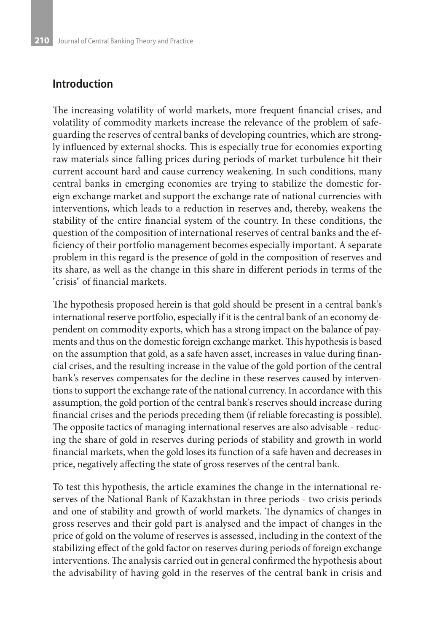### **Introduction**

The increasing volatility of world markets, more frequent financial crises, and volatility of commodity markets increase the relevance of the problem of safeguarding the reserves of central banks of developing countries, which are strongly influenced by external shocks. This is especially true for economies exporting raw materials since falling prices during periods of market turbulence hit their current account hard and cause currency weakening. In such conditions, many central banks in emerging economies are trying to stabilize the domestic foreign exchange market and support the exchange rate of national currencies with interventions, which leads to a reduction in reserves and, thereby, weakens the stability of the entire financial system of the country. In these conditions, the question of the composition of international reserves of central banks and the efficiency of their portfolio management becomes especially important. A separate problem in this regard is the presence of gold in the composition of reserves and its share, as well as the change in this share in different periods in terms of the "crisis" of financial markets.

The hypothesis proposed herein is that gold should be present in a central bank's international reserve portfolio, especially if it is the central bank of an economy dependent on commodity exports, which has a strong impact on the balance of payments and thus on the domestic foreign exchange market. This hypothesis is based on the assumption that gold, as a safe haven asset, increases in value during financial crises, and the resulting increase in the value of the gold portion of the central bank's reserves compensates for the decline in these reserves caused by interventions to support the exchange rate of the national currency. In accordance with this assumption, the gold portion of the central bank's reserves should increase during financial crises and the periods preceding them (if reliable forecasting is possible). The opposite tactics of managing international reserves are also advisable - reducing the share of gold in reserves during periods of stability and growth in world financial markets, when the gold loses its function of a safe haven and decreases in price, negatively affecting the state of gross reserves of the central bank.

To test this hypothesis, the article examines the change in the international reserves of the National Bank of Kazakhstan in three periods - two crisis periods and one of stability and growth of world markets. The dynamics of changes in gross reserves and their gold part is analysed and the impact of changes in the price of gold on the volume of reserves is assessed, including in the context of the stabilizing effect of the gold factor on reserves during periods of foreign exchange interventions. The analysis carried out in general confirmed the hypothesis about the advisability of having gold in the reserves of the central bank in crisis and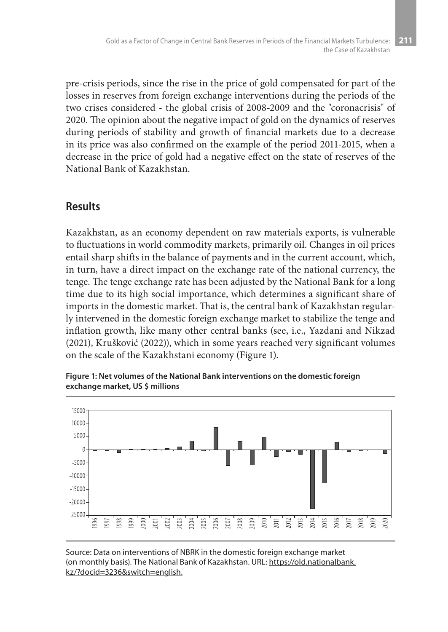pre-crisis periods, since the rise in the price of gold compensated for part of the losses in reserves from foreign exchange interventions during the periods of the two crises considered - the global crisis of 2008-2009 and the "coronacrisis" of 2020. The opinion about the negative impact of gold on the dynamics of reserves during periods of stability and growth of financial markets due to a decrease in its price was also confirmed on the example of the period 2011-2015, when a decrease in the price of gold had a negative effect on the state of reserves of the National Bank of Kazakhstan.

### **Results**

Kazakhstan, as an economy dependent on raw materials exports, is vulnerable to fluctuations in world commodity markets, primarily oil. Changes in oil prices entail sharp shifts in the balance of payments and in the current account, which, in turn, have a direct impact on the exchange rate of the national currency, the tenge. The tenge exchange rate has been adjusted by the National Bank for a long time due to its high social importance, which determines a significant share of imports in the domestic market. That is, the central bank of Kazakhstan regularly intervened in the domestic foreign exchange market to stabilize the tenge and inflation growth, like many other central banks (see, i.e., Yazdani and Nikzad (2021), Krušković (2022)), which in some years reached very significant volumes on the scale of the Kazakhstani economy (Figure 1).



**Figure 1: Net volumes of the National Bank interventions on the domestic foreign exchange market, US \$ millions**

Source: Data on interventions of NBRK in the domestic foreign exchange market (on monthly basis). The National Bank of Kazakhstan. URL: https://old.nationalbank. kz/?docid=3236&switch=english.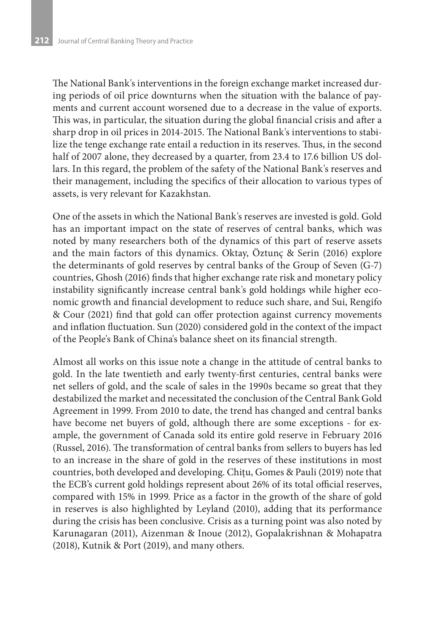The National Bank's interventions in the foreign exchange market increased during periods of oil price downturns when the situation with the balance of payments and current account worsened due to a decrease in the value of exports. This was, in particular, the situation during the global financial crisis and after a sharp drop in oil prices in 2014-2015. The National Bank's interventions to stabilize the tenge exchange rate entail a reduction in its reserves. Thus, in the second half of 2007 alone, they decreased by a quarter, from 23.4 to 17.6 billion US dollars. In this regard, the problem of the safety of the National Bank's reserves and their management, including the specifics of their allocation to various types of assets, is very relevant for Kazakhstan.

One of the assets in which the National Bank's reserves are invested is gold. Gold has an important impact on the state of reserves of central banks, which was noted by many researchers both of the dynamics of this part of reserve assets and the main factors of this dynamics. Oktay, Öztunç & Serin (2016) explore the determinants of gold reserves by central banks of the Group of Seven (G-7) countries, Ghosh (2016) finds that higher exchange rate risk and monetary policy instability significantly increase central bank's gold holdings while higher economic growth and financial development to reduce such share, and Sui, Rengifo & Cour (2021) find that gold can offer protection against currency movements and inflation fluctuation. Sun (2020) considered gold in the context of the impact of the People's Bank of China's balance sheet on its financial strength.

Almost all works on this issue note a change in the attitude of central banks to gold. In the late twentieth and early twenty-first centuries, central banks were net sellers of gold, and the scale of sales in the 1990s became so great that they destabilized the market and necessitated the conclusion of the Central Bank Gold Agreement in 1999. From 2010 to date, the trend has changed and central banks have become net buyers of gold, although there are some exceptions - for example, the government of Canada sold its entire gold reserve in February 2016 (Russel, 2016). The transformation of central banks from sellers to buyers has led to an increase in the share of gold in the reserves of these institutions in most countries, both developed and developing. Chiţu, Gomes & Pauli (2019) note that the ECB's current gold holdings represent about 26% of its total official reserves, compared with 15% in 1999. Price as a factor in the growth of the share of gold in reserves is also highlighted by Leyland (2010), adding that its performance during the crisis has been conclusive. Crisis as a turning point was also noted by Karunagaran (2011), Aizenman & Inoue (2012), Gopalakrishnan & Mohapatra (2018), Kutnik & Port (2019), and many others.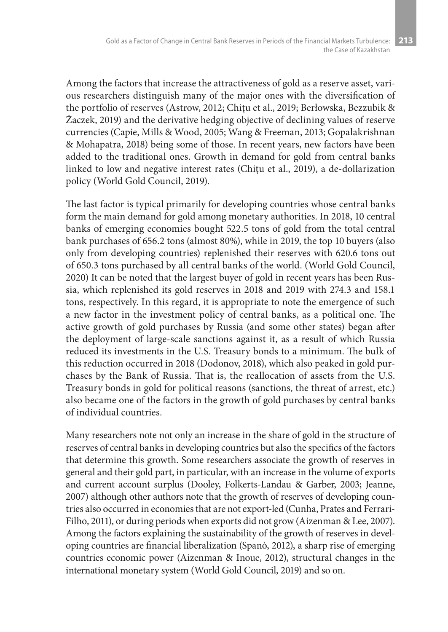Among the factors that increase the attractiveness of gold as a reserve asset, various researchers distinguish many of the major ones with the diversification of the portfolio of reserves (Astrow, 2012; Chitu et al., 2019; Berłowska, Bezzubik & Żaczek, 2019) and the derivative hedging objective of declining values of reserve currencies (Capie, Mills & Wood, 2005; Wang & Freeman, 2013; Gopalakrishnan & Mohapatra, 2018) being some of those. In recent years, new factors have been added to the traditional ones. Growth in demand for gold from central banks linked to low and negative interest rates (Chiţu et al., 2019), a de-dollarization policy (World Gold Council, 2019).

The last factor is typical primarily for developing countries whose central banks form the main demand for gold among monetary authorities. In 2018, 10 central banks of emerging economies bought 522.5 tons of gold from the total central bank purchases of 656.2 tons (almost 80%), while in 2019, the top 10 buyers (also only from developing countries) replenished their reserves with 620.6 tons out of 650.3 tons purchased by all central banks of the world. (World Gold Council, 2020) It can be noted that the largest buyer of gold in recent years has been Russia, which replenished its gold reserves in 2018 and 2019 with 274.3 and 158.1 tons, respectively. In this regard, it is appropriate to note the emergence of such a new factor in the investment policy of central banks, as a political one. The active growth of gold purchases by Russia (and some other states) began after the deployment of large-scale sanctions against it, as a result of which Russia reduced its investments in the U.S. Treasury bonds to a minimum. The bulk of this reduction occurred in 2018 (Dodonov, 2018), which also peaked in gold purchases by the Bank of Russia. That is, the reallocation of assets from the U.S. Treasury bonds in gold for political reasons (sanctions, the threat of arrest, etc.) also became one of the factors in the growth of gold purchases by central banks of individual countries.

Many researchers note not only an increase in the share of gold in the structure of reserves of central banks in developing countries but also the specifics of the factors that determine this growth. Some researchers associate the growth of reserves in general and their gold part, in particular, with an increase in the volume of exports and current account surplus (Dooley, Folkerts-Landau & Garber, 2003; Jeanne, 2007) although other authors note that the growth of reserves of developing countries also occurred in economies that are not export-led (Cunha, Prates and Ferrari-Filho, 2011), or during periods when exports did not grow (Aizenman & Lee, 2007). Among the factors explaining the sustainability of the growth of reserves in developing countries are financial liberalization (Spanò, 2012), a sharp rise of emerging countries economic power (Aizenman & Inoue, 2012), structural changes in the international monetary system (World Gold Council, 2019) and so on.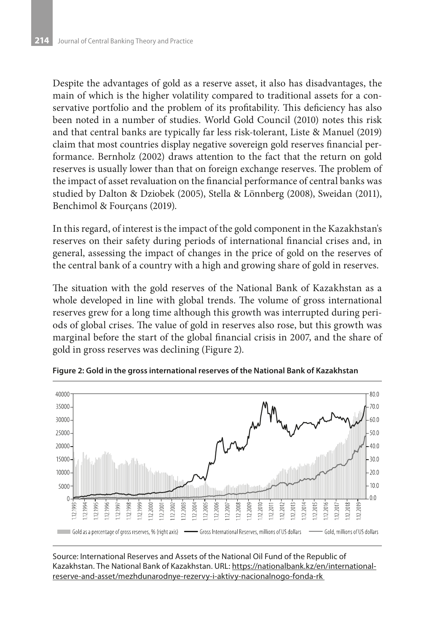Despite the advantages of gold as a reserve asset, it also has disadvantages, the main of which is the higher volatility compared to traditional assets for a conservative portfolio and the problem of its profitability. This deficiency has also been noted in a number of studies. World Gold Council (2010) notes this risk and that central banks are typically far less risk-tolerant, Liste & Manuel (2019) claim that most countries display negative sovereign gold reserves financial performance. Bernholz (2002) draws attention to the fact that the return on gold reserves is usually lower than that on foreign exchange reserves. The problem of the impact of asset revaluation on the financial performance of central banks was studied by Dalton & Dziobek (2005), Stella & Lönnberg (2008), Sweidan (2011), Benchimol & Fourçans (2019).

In this regard, of interest is the impact of the gold component in the Kazakhstan's reserves on their safety during periods of international financial crises and, in general, assessing the impact of changes in the price of gold on the reserves of the central bank of a country with a high and growing share of gold in reserves.

The situation with the gold reserves of the National Bank of Kazakhstan as a whole developed in line with global trends. The volume of gross international reserves grew for a long time although this growth was interrupted during periods of global crises. The value of gold in reserves also rose, but this growth was marginal before the start of the global financial crisis in 2007, and the share of gold in gross reserves was declining (Figure 2).



**Figure 2: Gold in the gross international reserves of the National Bank of Kazakhstan**

Source: International Reserves and Assets of the National Oil Fund of the Republic of Kazakhstan. The National Bank of Kazakhstan. URL: https://nationalbank.kz/en/internationalreserve-and-asset/mezhdunarodnye-rezervy-i-aktivy-nacionalnogo-fonda-rk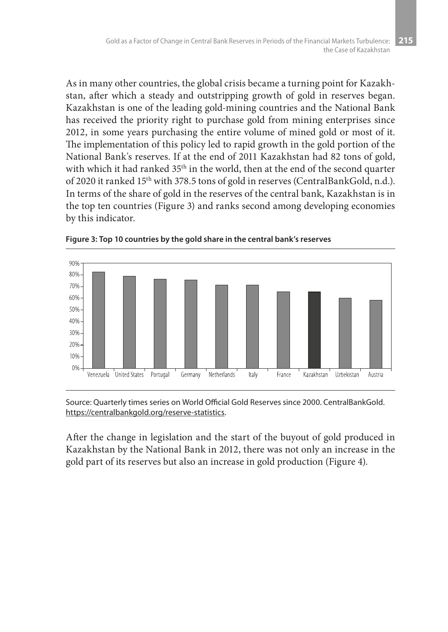As in many other countries, the global crisis became a turning point for Kazakhstan, after which a steady and outstripping growth of gold in reserves began. Kazakhstan is one of the leading gold-mining countries and the National Bank has received the priority right to purchase gold from mining enterprises since 2012, in some years purchasing the entire volume of mined gold or most of it. The implementation of this policy led to rapid growth in the gold portion of the National Bank's reserves. If at the end of 2011 Kazakhstan had 82 tons of gold, with which it had ranked 35<sup>th</sup> in the world, then at the end of the second quarter of 2020 it ranked 15th with 378.5 tons of gold in reserves (CentralBankGold, n.d.). In terms of the share of gold in the reserves of the central bank, Kazakhstan is in the top ten countries (Figure 3) and ranks second among developing economies by this indicator.





Source: Quarterly times series on World Official Gold Reserves since 2000. CentralBankGold. https://centralbankgold.org/reserve-statistics.

After the change in legislation and the start of the buyout of gold produced in Kazakhstan by the National Bank in 2012, there was not only an increase in the gold part of its reserves but also an increase in gold production (Figure 4).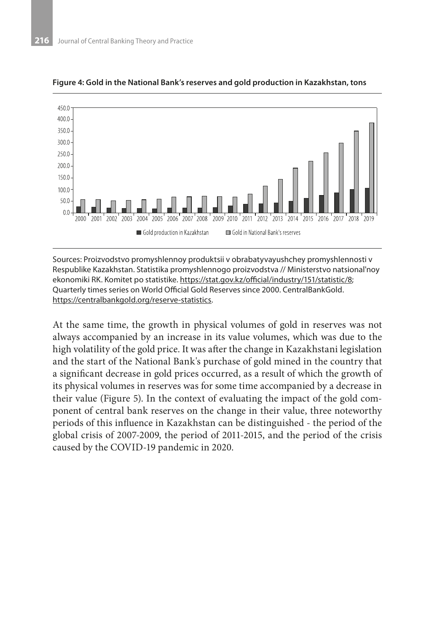

#### **Figure 4: Gold in the National Bank's reserves and gold production in Kazakhstan, tons**

Sources: Proizvodstvo promyshlennoy produktsii v obrabatyvayushchey promyshlennosti v Respublike Kazakhstan. Statistika promyshlennogo proizvodstva // Ministerstvo natsional'noy ekonomiki RK. Komitet po statistike. https://stat.gov.kz/official/industry/151/statistic/8; Quarterly times series on World Official Gold Reserves since 2000. CentralBankGold. https://centralbankgold.org/reserve-statistics.

At the same time, the growth in physical volumes of gold in reserves was not always accompanied by an increase in its value volumes, which was due to the high volatility of the gold price. It was after the change in Kazakhstani legislation and the start of the National Bank's purchase of gold mined in the country that a significant decrease in gold prices occurred, as a result of which the growth of its physical volumes in reserves was for some time accompanied by a decrease in their value (Figure 5). In the context of evaluating the impact of the gold component of central bank reserves on the change in their value, three noteworthy periods of this influence in Kazakhstan can be distinguished - the period of the global crisis of 2007-2009, the period of 2011-2015, and the period of the crisis caused by the COVID-19 pandemic in 2020.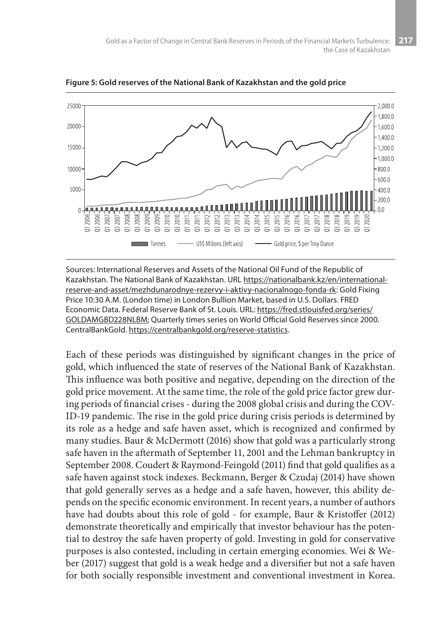

**Figure 5: Gold reserves of the National Bank of Kazakhstan and the gold price**

Sources: International Reserves and Assets of the National Oil Fund of the Republic of Kazakhstan. The National Bank of Kazakhstan. URL https://nationalbank.kz/en/internationalreserve-and-asset/mezhdunarodnye-rezervy-i-aktivy-nacionalnogo-fonda-rk: Gold Fixing Price 10:30 A.M. (London time) in London Bullion Market, based in U.S. Dollars. FRED Economic Data. Federal Reserve Bank of St. Louis. URL: https://fred.stlouisfed.org/series/ GOLDAMGBD228NLBM; Quarterly times series on World Official Gold Reserves since 2000. CentralBankGold. https://centralbankgold.org/reserve-statistics.

Each of these periods was distinguished by significant changes in the price of gold, which influenced the state of reserves of the National Bank of Kazakhstan. This influence was both positive and negative, depending on the direction of the gold price movement. At the same time, the role of the gold price factor grew during periods of financial crises - during the 2008 global crisis and during the COV-ID-19 pandemic. The rise in the gold price during crisis periods is determined by its role as a hedge and safe haven asset, which is recognized and confirmed by many studies. Baur & McDermott (2016) show that gold was a particularly strong safe haven in the aftermath of September 11, 2001 and the Lehman bankruptcy in September 2008. Coudert & Raymond-Feingold (2011) find that gold qualifies as a safe haven against stock indexes. Beckmann, Berger & Czudaj (2014) have shown that gold generally serves as a hedge and a safe haven, however, this ability depends on the specific economic environment. In recent years, a number of authors have had doubts about this role of gold - for example, Baur & Kristoffer (2012) demonstrate theoretically and empirically that investor behaviour has the potential to destroy the safe haven property of gold. Investing in gold for conservative purposes is also contested, including in certain emerging economies. Wei & Weber (2017) suggest that gold is a weak hedge and a diversifier but not a safe haven for both socially responsible investment and conventional investment in Korea.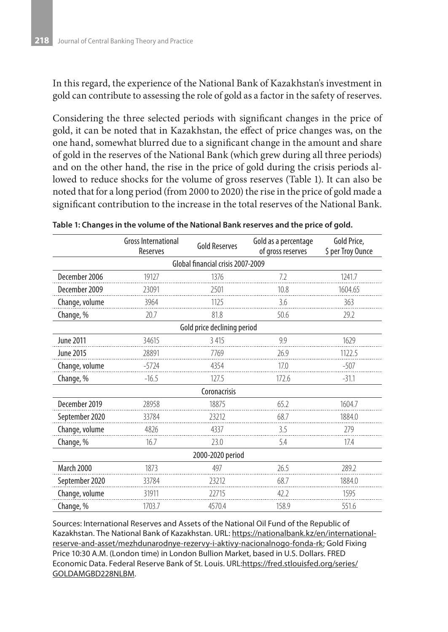In this regard, the experience of the National Bank of Kazakhstan's investment in gold can contribute to assessing the role of gold as a factor in the safety of reserves.

Considering the three selected periods with significant changes in the price of gold, it can be noted that in Kazakhstan, the effect of price changes was, on the one hand, somewhat blurred due to a significant change in the amount and share of gold in the reserves of the National Bank (which grew during all three periods) and on the other hand, the rise in the price of gold during the crisis periods allowed to reduce shocks for the volume of gross reserves (Table 1). It can also be noted that for a long period (from 2000 to 2020) the rise in the price of gold made a significant contribution to the increase in the total reserves of the National Bank.

|                                   | Gross International<br>Reserves | <b>Gold Reserves</b> | Gold as a percentage<br>of gross reserves | Gold Price,<br>\$ per Troy Ounce |
|-----------------------------------|---------------------------------|----------------------|-------------------------------------------|----------------------------------|
| Global financial crisis 2007-2009 |                                 |                      |                                           |                                  |
| December 2006                     | 19127                           | 1376                 | 7.2                                       | 1241.7                           |
| December 2009                     | 23091                           | 2501                 | 10.8                                      | 1604.65                          |
| Change, volume                    | 3964                            | 1125                 | 3.6                                       | 363                              |
| Change, %                         | 20.7                            | 81.8                 | 50.6                                      | 29.2                             |
| Gold price declining period       |                                 |                      |                                           |                                  |
| <b>June 2011</b>                  | 34615                           | 3 4 1 5              | 9.9                                       | 1629                             |
| June 2015                         | 28891                           | 7769                 | 26.9                                      | 1122.5                           |
| Change, volume                    | $-5724$                         | 4354                 | 17.0                                      | $-507$                           |
| Change, %                         | $-16.5$                         | 127.5                | 172.6                                     | $-31.1$                          |
| Coronacrisis                      |                                 |                      |                                           |                                  |
| December 2019                     | 28958                           | 18875                | 65.2                                      | 1604.7                           |
| September 2020                    | 33784                           | 23212                | 68.7                                      | 1884.0                           |
| Change, volume                    | 4826                            | 4337                 | 3.5                                       | 279                              |
| Change, %                         | 16.7                            | 23.0                 | 5.4                                       | 17.4                             |
| 2000-2020 period                  |                                 |                      |                                           |                                  |
| <b>March 2000</b>                 | 1873                            | 497                  | 26.5                                      | 289.2                            |
| September 2020                    | 33784                           | 23212                | 68.7                                      | 1884.0                           |
| Change, volume                    | 31911                           | 22715                | 42.2                                      | 1595                             |
| Change, %                         | 1703.7                          | 4570.4               | 158.9                                     | 551.6                            |

**Table 1: Changes in the volume of the National Bank reserves and the price of gold.**

Sources: International Reserves and Assets of the National Oil Fund of the Republic of Kazakhstan. The National Bank of Kazakhstan. URL: https://nationalbank.kz/en/internationalreserve-and-asset/mezhdunarodnye-rezervy-i-aktivy-nacionalnogo-fonda-rk; Gold Fixing Price 10:30 A.M. (London time) in London Bullion Market, based in U.S. Dollars. FRED Economic Data. Federal Reserve Bank of St. Louis. URL:https://fred.stlouisfed.org/series/ GOLDAMGBD228NLBM.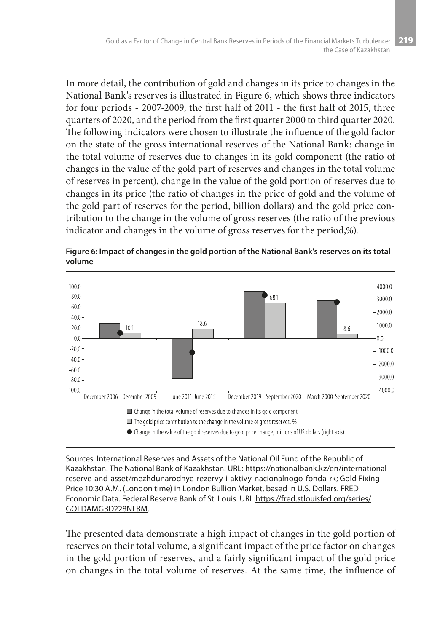In more detail, the contribution of gold and changes in its price to changes in the National Bank's reserves is illustrated in Figure 6, which shows three indicators for four periods - 2007-2009, the first half of 2011 - the first half of 2015, three quarters of 2020, and the period from the first quarter 2000 to third quarter 2020. The following indicators were chosen to illustrate the influence of the gold factor on the state of the gross international reserves of the National Bank: change in the total volume of reserves due to changes in its gold component (the ratio of changes in the value of the gold part of reserves and changes in the total volume of reserves in percent), change in the value of the gold portion of reserves due to changes in its price (the ratio of changes in the price of gold and the volume of the gold part of reserves for the period, billion dollars) and the gold price contribution to the change in the volume of gross reserves (the ratio of the previous indicator and changes in the volume of gross reserves for the period,%).



**Figure 6: Impact of changes in the gold portion of the National Bank's reserves on its total volume**

Sources: International Reserves and Assets of the National Oil Fund of the Republic of Kazakhstan. The National Bank of Kazakhstan. URL: https://nationalbank.kz/en/internationalreserve-and-asset/mezhdunarodnye-rezervy-i-aktivy-nacionalnogo-fonda-rk; Gold Fixing Price 10:30 A.M. (London time) in London Bullion Market, based in U.S. Dollars. FRED Economic Data. Federal Reserve Bank of St. Louis. URL:https://fred.stlouisfed.org/series/ GOLDAMGBD228NLBM.

The presented data demonstrate a high impact of changes in the gold portion of reserves on their total volume, a significant impact of the price factor on changes in the gold portion of reserves, and a fairly significant impact of the gold price on changes in the total volume of reserves. At the same time, the influence of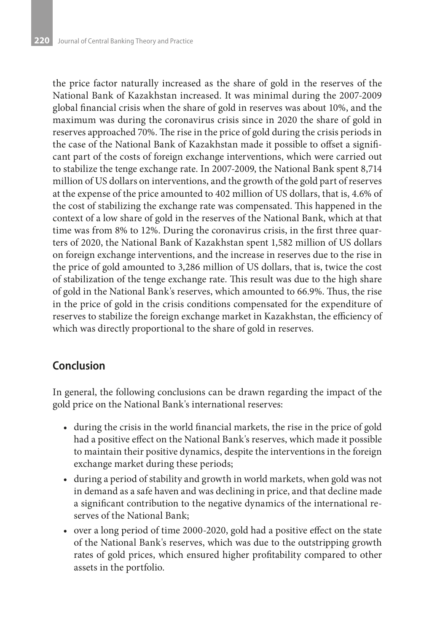the price factor naturally increased as the share of gold in the reserves of the National Bank of Kazakhstan increased. It was minimal during the 2007-2009 global financial crisis when the share of gold in reserves was about 10%, and the maximum was during the coronavirus crisis since in 2020 the share of gold in reserves approached 70%. The rise in the price of gold during the crisis periods in the case of the National Bank of Kazakhstan made it possible to offset a significant part of the costs of foreign exchange interventions, which were carried out to stabilize the tenge exchange rate. In 2007-2009, the National Bank spent 8,714 million of US dollars on interventions, and the growth of the gold part of reserves at the expense of the price amounted to 402 million of US dollars, that is, 4.6% of the cost of stabilizing the exchange rate was compensated. This happened in the context of a low share of gold in the reserves of the National Bank, which at that time was from 8% to 12%. During the coronavirus crisis, in the first three quarters of 2020, the National Bank of Kazakhstan spent 1,582 million of US dollars on foreign exchange interventions, and the increase in reserves due to the rise in the price of gold amounted to 3,286 million of US dollars, that is, twice the cost of stabilization of the tenge exchange rate. This result was due to the high share of gold in the National Bank's reserves, which amounted to 66.9%. Thus, the rise in the price of gold in the crisis conditions compensated for the expenditure of reserves to stabilize the foreign exchange market in Kazakhstan, the efficiency of which was directly proportional to the share of gold in reserves.

### **Conclusion**

In general, the following conclusions can be drawn regarding the impact of the gold price on the National Bank's international reserves:

- during the crisis in the world financial markets, the rise in the price of gold had a positive effect on the National Bank's reserves, which made it possible to maintain their positive dynamics, despite the interventions in the foreign exchange market during these periods;
- • during a period of stability and growth in world markets, when gold was not in demand as a safe haven and was declining in price, and that decline made a significant contribution to the negative dynamics of the international reserves of the National Bank;
- • over a long period of time 2000-2020, gold had a positive effect on the state of the National Bank's reserves, which was due to the outstripping growth rates of gold prices, which ensured higher profitability compared to other assets in the portfolio.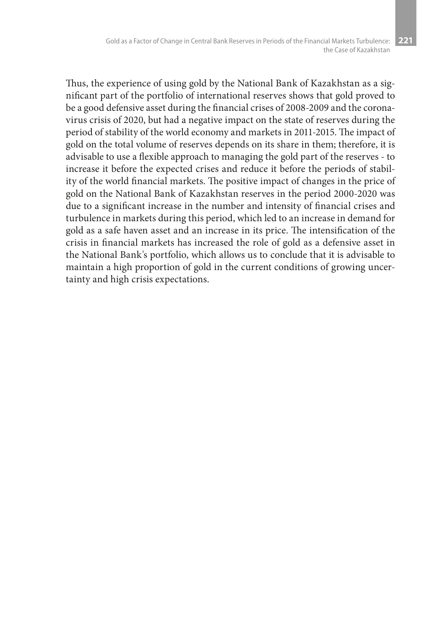Thus, the experience of using gold by the National Bank of Kazakhstan as a significant part of the portfolio of international reserves shows that gold proved to be a good defensive asset during the financial crises of 2008-2009 and the coronavirus crisis of 2020, but had a negative impact on the state of reserves during the period of stability of the world economy and markets in 2011-2015. The impact of gold on the total volume of reserves depends on its share in them; therefore, it is advisable to use a flexible approach to managing the gold part of the reserves - to increase it before the expected crises and reduce it before the periods of stability of the world financial markets. The positive impact of changes in the price of gold on the National Bank of Kazakhstan reserves in the period 2000-2020 was due to a significant increase in the number and intensity of financial crises and turbulence in markets during this period, which led to an increase in demand for gold as a safe haven asset and an increase in its price. The intensification of the crisis in financial markets has increased the role of gold as a defensive asset in the National Bank's portfolio, which allows us to conclude that it is advisable to maintain a high proportion of gold in the current conditions of growing uncertainty and high crisis expectations.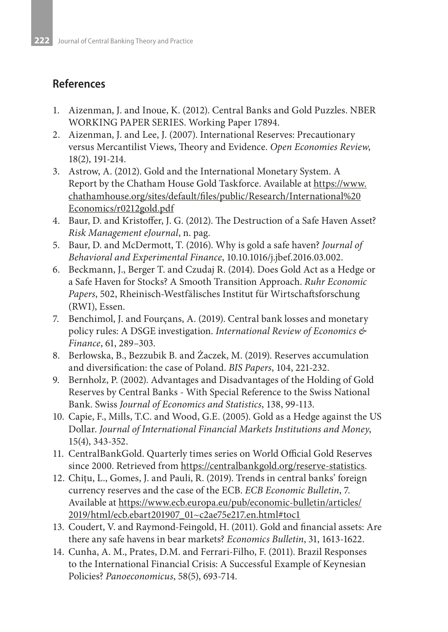## **References**

- 1. Aizenman, J. and Inoue, K. (2012). Central Banks and Gold Puzzles. NBER WORKING PAPER SERIES. Working Paper 17894.
- 2. Aizenman, J. and Lee, J. (2007). International Reserves: Precautionary versus Mercantilist Views, Theory and Evidence. *Open Economies Review*, 18(2), 191-214.
- 3. Astrow, A. (2012). Gold and the International Monetary System. A Report by the Chatham House Gold Taskforce. Available at https://www. chathamhouse.org/sites/default/files/public/Research/International%20 Economics/r0212gold.pdf
- 4. Baur, D. and Kristoffer, J. G. (2012). The Destruction of a Safe Haven Asset? *Risk Management eJournal*, n. pag.
- 5. Baur, D. and McDermott, T. (2016). Why is gold a safe haven? *Journal of Behavioral and Experimental Finance*, 10.10.1016/j.jbef.2016.03.002.
- 6. Beckmann, J., Berger T. and Czudaj R. (2014). Does Gold Act as a Hedge or a Safe Haven for Stocks? A Smooth Transition Approach. *Ruhr Economic Papers*, 502, Rheinisch-Westfälisches Institut für Wirtschaftsforschung (RWI), Essen.
- 7. Benchimol, J. and Fourçans, A. (2019). Central bank losses and monetary policy rules: A DSGE investigation. *International Review of Economics & Finance*, 61, 289–303.
- 8. Berłowska, B., Bezzubik B. and Żaczek, M. (2019). Reserves accumulation and diversification: the case of Poland. *BIS Papers*, 104, 221-232.
- 9. Bernholz, P. (2002). Advantages and Disadvantages of the Holding of Gold Reserves by Central Banks - With Special Reference to the Swiss National Bank. Swiss *Journal of Economics and Statistics*, 138, 99-113.
- 10. Capie, F., Mills, T.C. and Wood, G.E. (2005). Gold as a Hedge against the US Dollar. *Journal of International Financial Markets Institutions and Money*, 15(4), 343-352.
- 11. CentralBankGold. Quarterly times series on World Official Gold Reserves since 2000. Retrieved from https://centralbankgold.org/reserve-statistics.
- 12. Chiţu, L., Gomes, J. and Pauli, R. (2019). Trends in central banks' foreign currency reserves and the case of the ECB. *ECB Economic Bulletin*, 7. Available at https://www.ecb.europa.eu/pub/economic-bulletin/articles/ 2019/html/ecb.ebart201907\_01~c2ae75e217.en.html#toc1
- 13. Coudert, V. and Raymond-Feingold, H. (2011). Gold and financial assets: Are there any safe havens in bear markets? *Economics Bulletin*, 31, 1613-1622.
- 14. Cunha, A. M., Prates, D.M. and Ferrari-Filho, F. (2011). Brazil Responses to the International Financial Crisis: A Successful Example of Keynesian Policies? *Panoeconomicus*, 58(5), 693-714.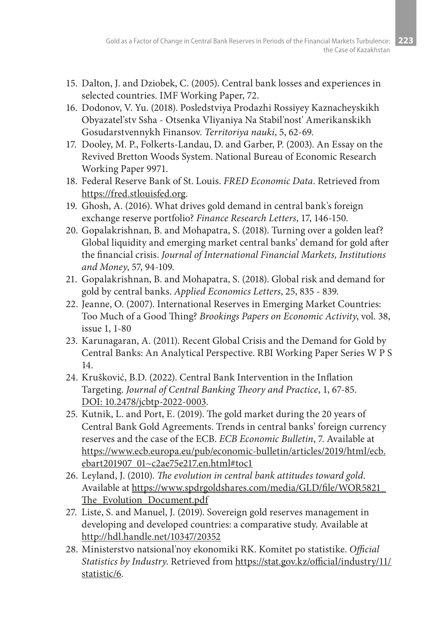- 15. Dalton, J. and Dziobek, C. (2005). Central bank losses and experiences in selected countries. IMF Working Paper, 72.
- 16. Dodonov, V. Yu. (2018). Posledstviya Prodazhi Rossiyey Kaznacheyskikh Obyazatel'stv Ssha - Otsenka Vliyaniya Na Stabil'nost' Amerikanskikh Gosudarstvennykh Finansov. *Territoriya nauki*, 5, 62-69.
- 17. Dooley, M. P., Folkerts-Landau, D. and Garber, P. (2003). An Essay on the Revived Bretton Woods System. National Bureau of Economic Research Working Paper 9971.
- 18. Federal Reserve Bank of St. Louis. *FRED Economic Data*. Retrieved from https://fred.stlouisfed.org.
- 19. Ghosh, A. (2016). What drives gold demand in central bank's foreign exchange reserve portfolio? *Finance Research Letters*, 17, 146-150.
- 20. Gopalakrishnan, B. and Mohapatra, S. (2018). Turning over a golden leaf? Global liquidity and emerging market central banks' demand for gold after the financial crisis. *Journal of International Financial Markets, Institutions and Money*, 57, 94-109.
- 21. Gopalakrishnan, B. and Mohapatra, S. (2018). Global risk and demand for gold by central banks. *Applied Economics Letters*, 25, 835 - 839.
- 22. Jeanne, O. (2007). International Reserves in Emerging Market Countries: Too Much of a Good Thing? *Brookings Papers on Economic Activity*, vol. 38, issue 1, 1-80
- 23. Karunagaran, A. (2011). Recent Global Crisis and the Demand for Gold by Central Banks: An Analytical Perspective. RBI Working Paper Series W P S 14.
- 24. Krušković, B.D. (2022). Central Bank Intervention in the Inflation Targeting. *Journal of Central Banking Theory and Practice*, 1, 67-85. DOI: 10.2478/jcbtp-2022-0003.
- 25. Kutnik, L. and Port, E. (2019). The gold market during the 20 years of Central Bank Gold Agreements. Trends in central banks' foreign currency reserves and the case of the ECB. *ECB Economic Bulletin*, 7. Available at https://www.ecb.europa.eu/pub/economic-bulletin/articles/2019/html/ecb. ebart201907\_01~c2ae75e217.en.html#toc1
- 26. Leyland, J. (2010). *The evolution in central bank attitudes toward gold*. Available at https://www.spdrgoldshares.com/media/GLD/file/WOR5821\_ The Evolution Document.pdf
- 27. Liste, S. and Manuel, J. (2019). Sovereign gold reserves management in developing and developed countries: a comparative study. Available at http://hdl.handle.net/10347/20352
- 28. Ministerstvo natsional'noy ekonomiki RK. Komitet po statistike. *Official Statistics by Industry*. Retrieved from https://stat.gov.kz/official/industry/11/ statistic/6.